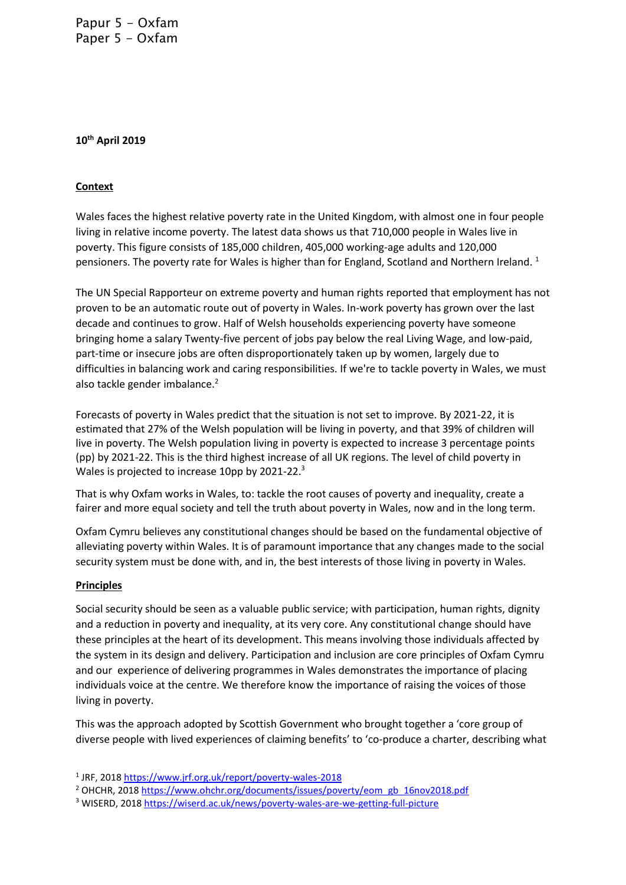Papur 5 - Oxfam Paper 5 - Oxfam

### **10th April 2019**

## **Context**

Wales faces the highest relative poverty rate in the United Kingdom, with almost one in four people living in relative income poverty. The latest data shows us that 710,000 people in Wales live in poverty. This figure consists of 185,000 children, 405,000 working-age adults and 120,000 pensioners. The poverty rate for Wales is higher than for England, Scotland and Northern Ireland.<sup>1</sup>

The UN Special Rapporteur on extreme poverty and human rights reported that employment has not proven to be an automatic route out of poverty in Wales. In-work poverty has grown over the last decade and continues to grow. Half of Welsh households experiencing poverty have someone bringing home a salary Twenty-five percent of jobs pay below the real Living Wage, and low-paid, part-time or insecure jobs are often disproportionately taken up by women, largely due to difficulties in balancing work and caring responsibilities. If we're to tackle poverty in Wales, we must also tackle gender imbalance.<sup>2</sup>

Forecasts of poverty in Wales predict that the situation is not set to improve. By 2021-22, it is estimated that 27% of the Welsh population will be living in poverty, and that 39% of children will live in poverty. The Welsh population living in poverty is expected to increase 3 percentage points (pp) by 2021-22. This is the third highest increase of all UK regions. The level of child poverty in Wales is projected to increase 10pp by 2021-22.<sup>3</sup>

That is why Oxfam works in Wales, to: tackle the root causes of poverty and inequality, create a fairer and more equal society and tell the truth about poverty in Wales, now and in the long term.

Oxfam Cymru believes any constitutional changes should be based on the fundamental objective of alleviating poverty within Wales. It is of paramount importance that any changes made to the social security system must be done with, and in, the best interests of those living in poverty in Wales.

#### **Principles**

Social security should be seen as a valuable public service; with participation, human rights, dignity and a reduction in poverty and inequality, at its very core. Any constitutional change should have these principles at the heart of its development. This means involving those individuals affected by the system in its design and delivery. Participation and inclusion are core principles of Oxfam Cymru and our experience of delivering programmes in Wales demonstrates the importance of placing individuals voice at the centre. We therefore know the importance of raising the voices of those living in poverty.

This was the approach adopted by Scottish Government who brought together a 'core group of diverse people with lived experiences of claiming benefits' to 'co-produce a charter, describing what

<sup>&</sup>lt;sup>1</sup> JRF, 2018<https://www.jrf.org.uk/report/poverty-wales-2018>

<sup>&</sup>lt;sup>2</sup> OHCHR, 201[8 https://www.ohchr.org/documents/issues/poverty/eom\\_gb\\_16nov2018.pdf](https://www.ohchr.org/documents/issues/poverty/eom_gb_16nov2018.pdf)

<sup>3</sup> WISERD, 2018<https://wiserd.ac.uk/news/poverty-wales-are-we-getting-full-picture>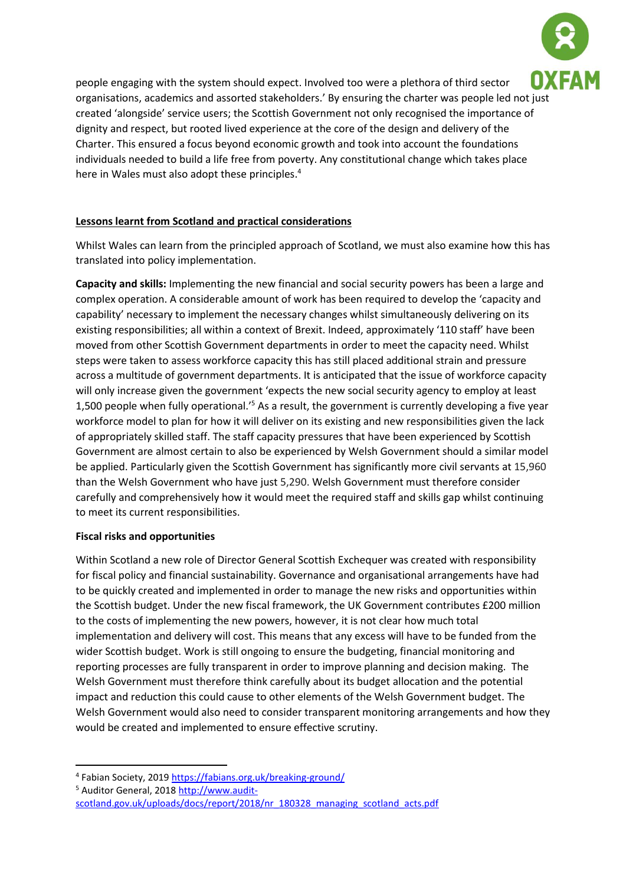

people engaging with the system should expect. Involved too were a plethora of third sector organisations, academics and assorted stakeholders.' By ensuring the charter was people led not just created 'alongside' service users; the Scottish Government not only recognised the importance of dignity and respect, but rooted lived experience at the core of the design and delivery of the Charter. This ensured a focus beyond economic growth and took into account the foundations individuals needed to build a life free from poverty. Any constitutional change which takes place here in Wales must also adopt these principles. 4

# **Lessons learnt from Scotland and practical considerations**

Whilst Wales can learn from the principled approach of Scotland, we must also examine how this has translated into policy implementation.

**Capacity and skills:** Implementing the new financial and social security powers has been a large and complex operation. A considerable amount of work has been required to develop the 'capacity and capability' necessary to implement the necessary changes whilst simultaneously delivering on its existing responsibilities; all within a context of Brexit. Indeed, approximately '110 staff' have been moved from other Scottish Government departments in order to meet the capacity need. Whilst steps were taken to assess workforce capacity this has still placed additional strain and pressure across a multitude of government departments. It is anticipated that the issue of workforce capacity will only increase given the government 'expects the new social security agency to employ at least 1,500 people when fully operational.<sup>'5</sup> As a result, the government is currently developing a five year workforce model to plan for how it will deliver on its existing and new responsibilities given the lack of appropriately skilled staff. The staff capacity pressures that have been experienced by Scottish Government are almost certain to also be experienced by Welsh Government should a similar model be applied. Particularly given the Scottish Government has significantly more civil servants at 15,960 than the Welsh Government who have just 5,290. Welsh Government must therefore consider carefully and comprehensively how it would meet the required staff and skills gap whilst continuing to meet its current responsibilities.

## **Fiscal risks and opportunities**

Within Scotland a new role of Director General Scottish Exchequer was created with responsibility for fiscal policy and financial sustainability. Governance and organisational arrangements have had to be quickly created and implemented in order to manage the new risks and opportunities within the Scottish budget. Under the new fiscal framework, the UK Government contributes £200 million to the costs of implementing the new powers, however, it is not clear how much total implementation and delivery will cost. This means that any excess will have to be funded from the wider Scottish budget. Work is still ongoing to ensure the budgeting, financial monitoring and reporting processes are fully transparent in order to improve planning and decision making. The Welsh Government must therefore think carefully about its budget allocation and the potential impact and reduction this could cause to other elements of the Welsh Government budget. The Welsh Government would also need to consider transparent monitoring arrangements and how they would be created and implemented to ensure effective scrutiny.

<sup>&</sup>lt;sup>4</sup> Fabian Society, 2019<https://fabians.org.uk/breaking-ground/>

<sup>&</sup>lt;sup>5</sup> Auditor General, 2018 [http://www.audit-](http://www.audit-scotland.gov.uk/uploads/docs/report/2018/nr_180328_managing_scotland_acts.pdf)

[scotland.gov.uk/uploads/docs/report/2018/nr\\_180328\\_managing\\_scotland\\_acts.pdf](http://www.audit-scotland.gov.uk/uploads/docs/report/2018/nr_180328_managing_scotland_acts.pdf)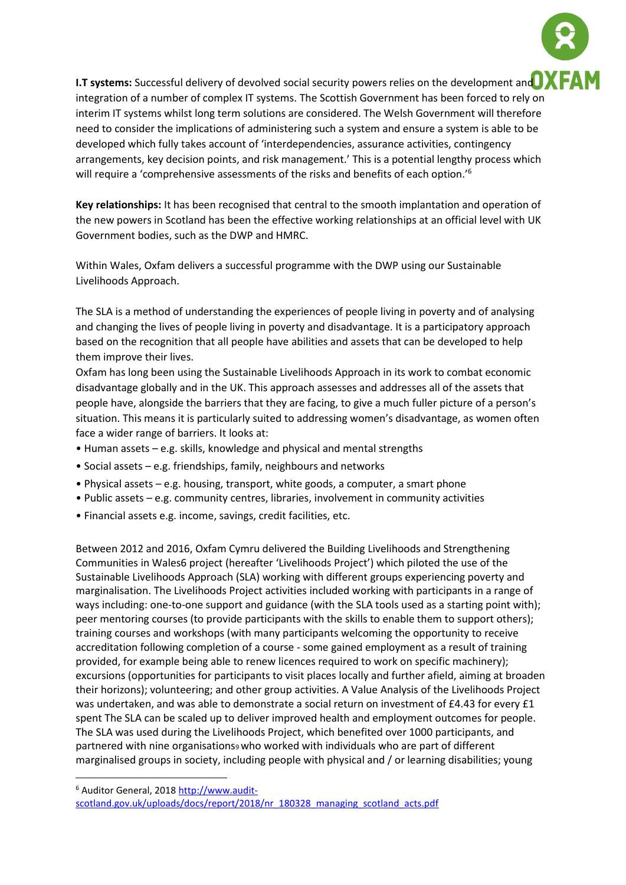

**Key relationships:** It has been recognised that central to the smooth implantation and operation of the new powers in Scotland has been the effective working relationships at an official level with UK Government bodies, such as the DWP and HMRC.

Within Wales, Oxfam delivers a successful programme with the DWP using our Sustainable Livelihoods Approach.

The SLA is a method of understanding the experiences of people living in poverty and of analysing and changing the lives of people living in poverty and disadvantage. It is a participatory approach based on the recognition that all people have abilities and assets that can be developed to help them improve their lives.

Oxfam has long been using the Sustainable Livelihoods Approach in its work to combat economic disadvantage globally and in the UK. This approach assesses and addresses all of the assets that people have, alongside the barriers that they are facing, to give a much fuller picture of a person's situation. This means it is particularly suited to addressing women's disadvantage, as women often face a wider range of barriers. It looks at:

- Human assets e.g. skills, knowledge and physical and mental strengths
- Social assets e.g. friendships, family, neighbours and networks
- Physical assets e.g. housing, transport, white goods, a computer, a smart phone
- Public assets e.g. community centres, libraries, involvement in community activities
- Financial assets e.g. income, savings, credit facilities, etc.

Between 2012 and 2016, Oxfam Cymru delivered the Building Livelihoods and Strengthening Communities in Wales6 project (hereafter 'Livelihoods Project') which piloted the use of the Sustainable Livelihoods Approach (SLA) working with different groups experiencing poverty and marginalisation. The Livelihoods Project activities included working with participants in a range of ways including: one-to-one support and guidance (with the SLA tools used as a starting point with); peer mentoring courses (to provide participants with the skills to enable them to support others); training courses and workshops (with many participants welcoming the opportunity to receive accreditation following completion of a course - some gained employment as a result of training provided, for example being able to renew licences required to work on specific machinery); excursions (opportunities for participants to visit places locally and further afield, aiming at broaden their horizons); volunteering; and other group activities. A Value Analysis of the Livelihoods Project was undertaken, and was able to demonstrate a social return on investment of £4.43 for every £1 spent The SLA can be scaled up to deliver improved health and employment outcomes for people. The SLA was used during the Livelihoods Project, which benefited over 1000 participants, and partnered with nine organisations<sup>9</sup> who worked with individuals who are part of different marginalised groups in society, including people with physical and / or learning disabilities; young

<sup>6</sup> Auditor General, 2018 [http://www.audit](http://www.audit-scotland.gov.uk/uploads/docs/report/2018/nr_180328_managing_scotland_acts.pdf)[scotland.gov.uk/uploads/docs/report/2018/nr\\_180328\\_managing\\_scotland\\_acts.pdf](http://www.audit-scotland.gov.uk/uploads/docs/report/2018/nr_180328_managing_scotland_acts.pdf)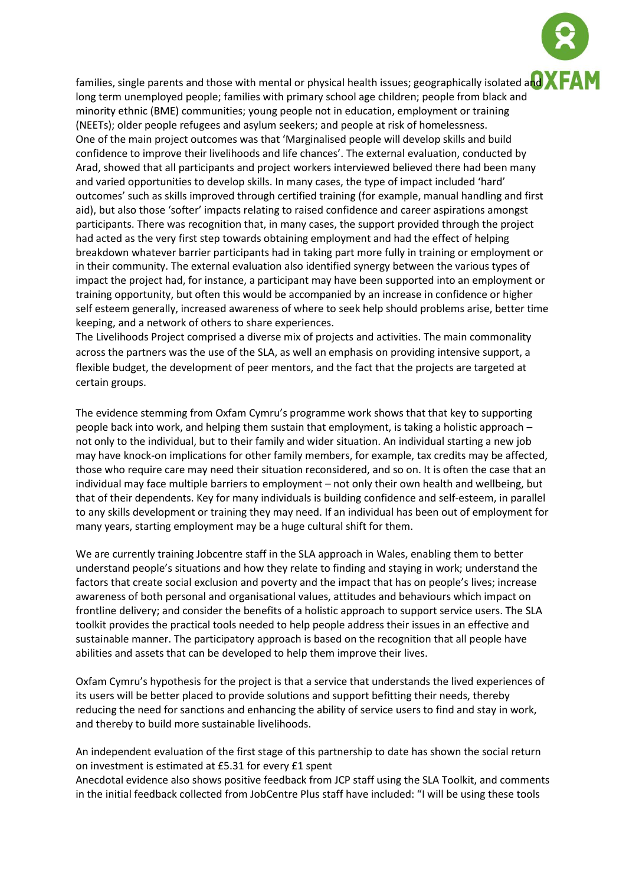

families, single parents and those with mental or physical health issues; geographically isolated and  $\bf{XFA}$ long term unemployed people; families with primary school age children; people from black and minority ethnic (BME) communities; young people not in education, employment or training (NEETs); older people refugees and asylum seekers; and people at risk of homelessness. One of the main project outcomes was that 'Marginalised people will develop skills and build confidence to improve their livelihoods and life chances'. The external evaluation, conducted by Arad, showed that all participants and project workers interviewed believed there had been many and varied opportunities to develop skills. In many cases, the type of impact included 'hard' outcomes' such as skills improved through certified training (for example, manual handling and first aid), but also those 'softer' impacts relating to raised confidence and career aspirations amongst participants. There was recognition that, in many cases, the support provided through the project had acted as the very first step towards obtaining employment and had the effect of helping breakdown whatever barrier participants had in taking part more fully in training or employment or in their community. The external evaluation also identified synergy between the various types of impact the project had, for instance, a participant may have been supported into an employment or training opportunity, but often this would be accompanied by an increase in confidence or higher self esteem generally, increased awareness of where to seek help should problems arise, better time keeping, and a network of others to share experiences.

The Livelihoods Project comprised a diverse mix of projects and activities. The main commonality across the partners was the use of the SLA, as well an emphasis on providing intensive support, a flexible budget, the development of peer mentors, and the fact that the projects are targeted at certain groups.

The evidence stemming from Oxfam Cymru's programme work shows that that key to supporting people back into work, and helping them sustain that employment, is taking a holistic approach – not only to the individual, but to their family and wider situation. An individual starting a new job may have knock-on implications for other family members, for example, tax credits may be affected, those who require care may need their situation reconsidered, and so on. It is often the case that an individual may face multiple barriers to employment – not only their own health and wellbeing, but that of their dependents. Key for many individuals is building confidence and self-esteem, in parallel to any skills development or training they may need. If an individual has been out of employment for many years, starting employment may be a huge cultural shift for them.

We are currently training Jobcentre staff in the SLA approach in Wales, enabling them to better understand people's situations and how they relate to finding and staying in work; understand the factors that create social exclusion and poverty and the impact that has on people's lives; increase awareness of both personal and organisational values, attitudes and behaviours which impact on frontline delivery; and consider the benefits of a holistic approach to support service users. The SLA toolkit provides the practical tools needed to help people address their issues in an effective and sustainable manner. The participatory approach is based on the recognition that all people have abilities and assets that can be developed to help them improve their lives.

Oxfam Cymru's hypothesis for the project is that a service that understands the lived experiences of its users will be better placed to provide solutions and support befitting their needs, thereby reducing the need for sanctions and enhancing the ability of service users to find and stay in work, and thereby to build more sustainable livelihoods.

An independent evaluation of the first stage of this partnership to date has shown the social return on investment is estimated at £5.31 for every £1 spent

Anecdotal evidence also shows positive feedback from JCP staff using the SLA Toolkit, and comments in the initial feedback collected from JobCentre Plus staff have included: "I will be using these tools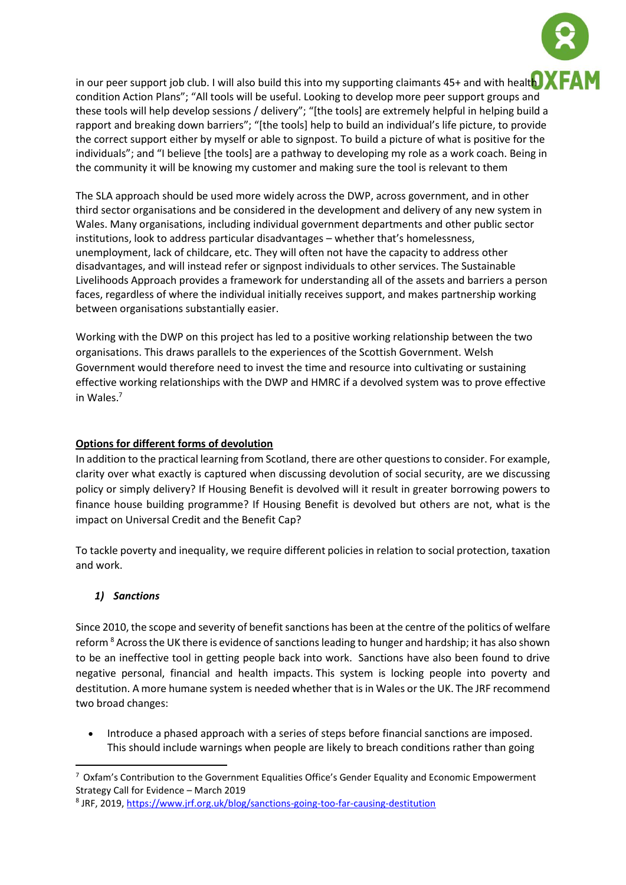

in our peer support job club. I will also build this into my supporting claimants 45+ and with healt $\blacksquare$ condition Action Plans"; "All tools will be useful. Looking to develop more peer support groups and these tools will help develop sessions / delivery"; "[the tools] are extremely helpful in helping build a rapport and breaking down barriers"; "[the tools] help to build an individual's life picture, to provide the correct support either by myself or able to signpost. To build a picture of what is positive for the individuals"; and "I believe [the tools] are a pathway to developing my role as a work coach. Being in the community it will be knowing my customer and making sure the tool is relevant to them

The SLA approach should be used more widely across the DWP, across government, and in other third sector organisations and be considered in the development and delivery of any new system in Wales. Many organisations, including individual government departments and other public sector institutions, look to address particular disadvantages – whether that's homelessness, unemployment, lack of childcare, etc. They will often not have the capacity to address other disadvantages, and will instead refer or signpost individuals to other services. The Sustainable Livelihoods Approach provides a framework for understanding all of the assets and barriers a person faces, regardless of where the individual initially receives support, and makes partnership working between organisations substantially easier.

Working with the DWP on this project has led to a positive working relationship between the two organisations. This draws parallels to the experiences of the Scottish Government. Welsh Government would therefore need to invest the time and resource into cultivating or sustaining effective working relationships with the DWP and HMRC if a devolved system was to prove effective in Wales.<sup>7</sup>

# **Options for different forms of devolution**

In addition to the practical learning from Scotland, there are other questions to consider. For example, clarity over what exactly is captured when discussing devolution of social security, are we discussing policy or simply delivery? If Housing Benefit is devolved will it result in greater borrowing powers to finance house building programme? If Housing Benefit is devolved but others are not, what is the impact on Universal Credit and the Benefit Cap?

To tackle poverty and inequality, we require different policies in relation to social protection, taxation and work.

# *1) Sanctions*

**.** 

Since 2010, the scope and severity of benefit sanctions has been at the centre of the politics of welfare reform <sup>8</sup> Across the UK there is evidence of sanctions leading to hunger and hardship; it has also shown to be an ineffective tool in getting people back into work. Sanctions have also been found to drive negative personal, financial and health impacts. This system is locking people into poverty and destitution. A more humane system is needed whether that is in Wales or the UK. The JRF recommend two broad changes:

• Introduce a phased approach with a series of steps before financial sanctions are imposed. This should include warnings when people are likely to breach conditions rather than going

<sup>7</sup> Oxfam's Contribution to the Government Equalities Office's Gender Equality and Economic Empowerment Strategy Call for Evidence – March 2019

<sup>&</sup>lt;sup>8</sup> JRF, 2019, <https://www.jrf.org.uk/blog/sanctions-going-too-far-causing-destitution>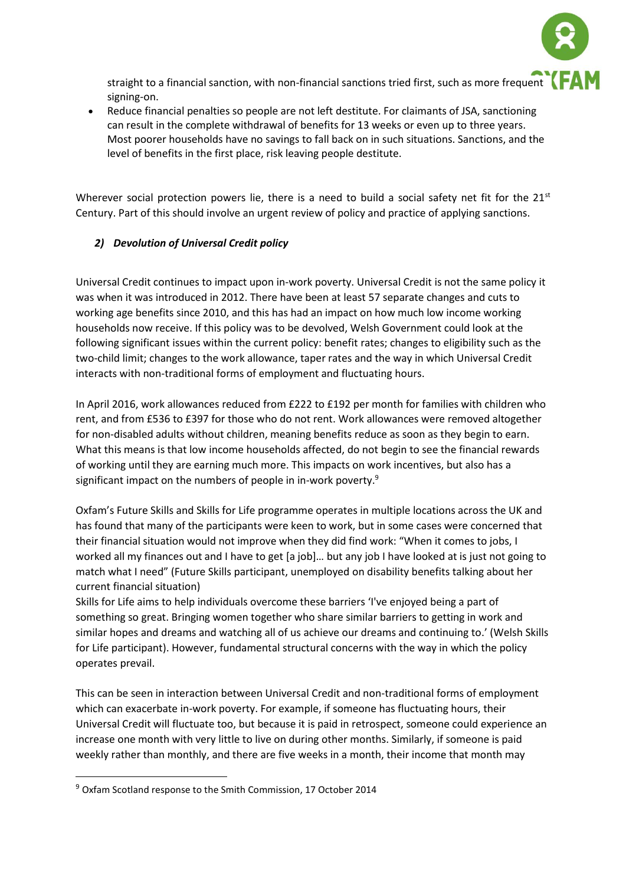

straight to a financial sanction, with non-financial sanctions tried first, such as more frequent signing-on.

• Reduce financial penalties so people are not left destitute. For claimants of JSA, sanctioning can result in the complete withdrawal of benefits for 13 weeks or even up to three years. Most poorer households have no savings to fall back on in such situations. Sanctions, and the level of benefits in the first place, risk leaving people destitute.

Wherever social protection powers lie, there is a need to build a social safety net fit for the  $21<sup>st</sup>$ Century. Part of this should involve an urgent review of policy and practice of applying sanctions.

# *2) Devolution of Universal Credit policy*

Universal Credit continues to impact upon in-work poverty. Universal Credit is not the same policy it was when it was introduced in 2012. There have been at least 57 separate changes and cuts to working age benefits since 2010, and this has had an impact on how much low income working households now receive. If this policy was to be devolved, Welsh Government could look at the following significant issues within the current policy: benefit rates; changes to eligibility such as the two-child limit; changes to the work allowance, taper rates and the way in which Universal Credit interacts with non-traditional forms of employment and fluctuating hours.

In April 2016, work allowances reduced from £222 to £192 per month for families with children who rent, and from £536 to £397 for those who do not rent. Work allowances were removed altogether for non-disabled adults without children, meaning benefits reduce as soon as they begin to earn. What this means is that low income households affected, do not begin to see the financial rewards of working until they are earning much more. This impacts on work incentives, but also has a significant impact on the numbers of people in in-work poverty.<sup>9</sup>

Oxfam's Future Skills and Skills for Life programme operates in multiple locations across the UK and has found that many of the participants were keen to work, but in some cases were concerned that their financial situation would not improve when they did find work: "When it comes to jobs, I worked all my finances out and I have to get [a job]… but any job I have looked at is just not going to match what I need" (Future Skills participant, unemployed on disability benefits talking about her current financial situation)

Skills for Life aims to help individuals overcome these barriers 'I've enjoyed being a part of something so great. Bringing women together who share similar barriers to getting in work and similar hopes and dreams and watching all of us achieve our dreams and continuing to.' (Welsh Skills for Life participant). However, fundamental structural concerns with the way in which the policy operates prevail.

This can be seen in interaction between Universal Credit and non-traditional forms of employment which can exacerbate in-work poverty. For example, if someone has fluctuating hours, their Universal Credit will fluctuate too, but because it is paid in retrospect, someone could experience an increase one month with very little to live on during other months. Similarly, if someone is paid weekly rather than monthly, and there are five weeks in a month, their income that month may

<sup>9</sup> Oxfam Scotland response to the Smith Commission, 17 October 2014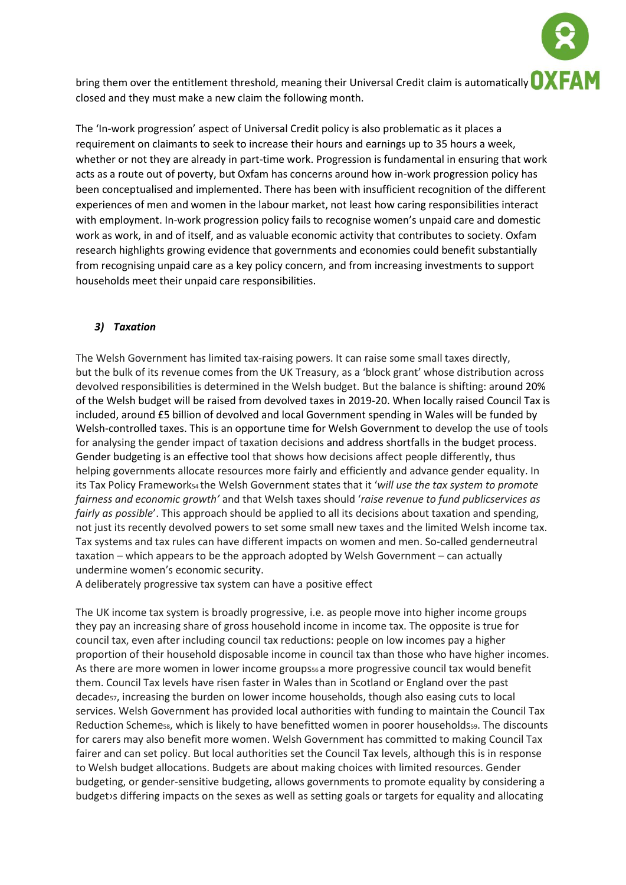bring them over the entitlement threshold, meaning their Universal Credit claim is automatically **OXFAM** closed and they must make a new claim the following month.

The 'In-work progression' aspect of Universal Credit policy is also problematic as it places a requirement on claimants to seek to increase their hours and earnings up to 35 hours a week, whether or not they are already in part-time work. Progression is fundamental in ensuring that work acts as a route out of poverty, but Oxfam has concerns around how in-work progression policy has been conceptualised and implemented. There has been with insufficient recognition of the different experiences of men and women in the labour market, not least how caring responsibilities interact with employment. In-work progression policy fails to recognise women's unpaid care and domestic work as work, in and of itself, and as valuable economic activity that contributes to society. Oxfam research highlights growing evidence that governments and economies could benefit substantially from recognising unpaid care as a key policy concern, and from increasing investments to support households meet their unpaid care responsibilities.

### *3) Taxation*

The Welsh Government has limited tax-raising powers. It can raise some small taxes directly, but the bulk of its revenue comes from the UK Treasury, as a 'block grant' whose distribution across devolved responsibilities is determined in the Welsh budget. But the balance is shifting: around 20% of the Welsh budget will be raised from devolved taxes in 2019-20. When locally raised Council Tax is included, around £5 billion of devolved and local Government spending in Wales will be funded by Welsh-controlled taxes. This is an opportune time for Welsh Government to develop the use of tools for analysing the gender impact of taxation decisions and address shortfalls in the budget process. Gender budgeting is an effective tool that shows how decisions affect people differently, thus helping governments allocate resources more fairly and efficiently and advance gender equality. In its Tax Policy Framework54 the Welsh Government states that it '*will use the tax system to promote fairness and economic growth'* and that Welsh taxes should '*raise revenue to fund publicservices as fairly as possible*'. This approach should be applied to all its decisions about taxation and spending, not just its recently devolved powers to set some small new taxes and the limited Welsh income tax. Tax systems and tax rules can have different impacts on women and men. So-called genderneutral taxation – which appears to be the approach adopted by Welsh Government – can actually undermine women's economic security.

A deliberately progressive tax system can have a positive effect

The UK income tax system is broadly progressive, i.e. as people move into higher income groups they pay an increasing share of gross household income in income tax. The opposite is true for council tax, even after including council tax reductions: people on low incomes pay a higher proportion of their household disposable income in council tax than those who have higher incomes. As there are more women in lower income groups<sub>56</sub> a more progressive council tax would benefit them. Council Tax levels have risen faster in Wales than in Scotland or England over the past decade<sub>57</sub>, increasing the burden on lower income households, though also easing cuts to local services. Welsh Government has provided local authorities with funding to maintain the Council Tax Reduction Schemess, which is likely to have benefitted women in poorer householdsss. The discounts for carers may also benefit more women. Welsh Government has committed to making Council Tax fairer and can set policy. But local authorities set the Council Tax levels, although this is in response to Welsh budget allocations. Budgets are about making choices with limited resources. Gender budgeting, or gender-sensitive budgeting, allows governments to promote equality by considering a budget›s differing impacts on the sexes as well as setting goals or targets for equality and allocating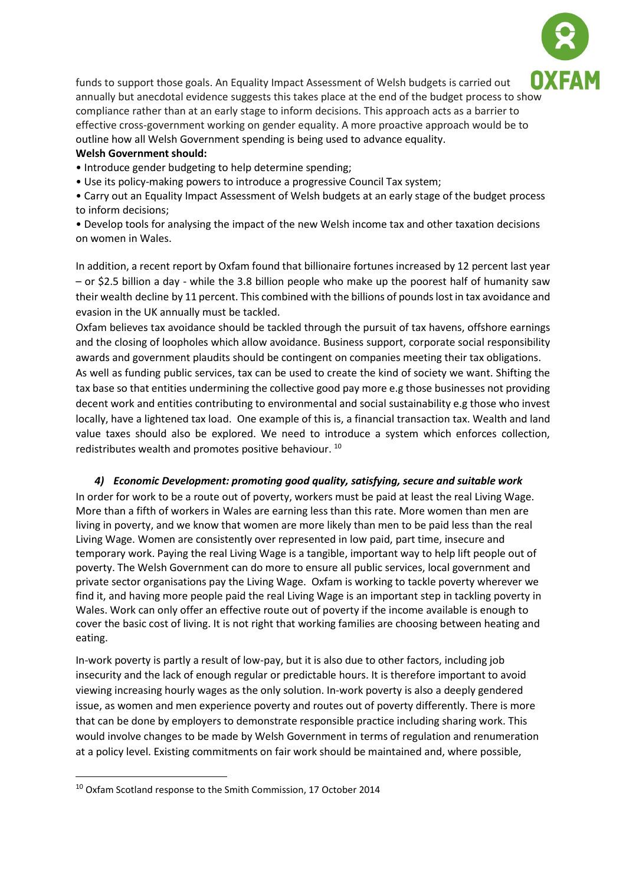

funds to support those goals. An Equality Impact Assessment of Welsh budgets is carried out annually but anecdotal evidence suggests this takes place at the end of the budget process to show compliance rather than at an early stage to inform decisions. This approach acts as a barrier to effective cross-government working on gender equality. A more proactive approach would be to outline how all Welsh Government spending is being used to advance equality.

## **Welsh Government should:**

• Introduce gender budgeting to help determine spending;

• Use its policy-making powers to introduce a progressive Council Tax system;

• Carry out an Equality Impact Assessment of Welsh budgets at an early stage of the budget process to inform decisions;

• Develop tools for analysing the impact of the new Welsh income tax and other taxation decisions on women in Wales.

In addition, a recent report by Oxfam found that billionaire fortunes increased by 12 percent last year – or \$2.5 billion a day - while the 3.8 billion people who make up the poorest half of humanity saw their wealth decline by 11 percent. This combined with the billions of pounds lost in tax avoidance and evasion in the UK annually must be tackled.

Oxfam believes tax avoidance should be tackled through the pursuit of tax havens, offshore earnings and the closing of loopholes which allow avoidance. Business support, corporate social responsibility awards and government plaudits should be contingent on companies meeting their tax obligations.

As well as funding public services, tax can be used to create the kind of society we want. Shifting the tax base so that entities undermining the collective good pay more e.g those businesses not providing decent work and entities contributing to environmental and social sustainability e.g those who invest locally, have a lightened tax load. One example of this is, a financial transaction tax. Wealth and land value taxes should also be explored. We need to introduce a system which enforces collection, redistributes wealth and promotes positive behaviour. <sup>10</sup>

## *4) Economic Development: promoting good quality, satisfying, secure and suitable work*

In order for work to be a route out of poverty, workers must be paid at least the real Living Wage. More than a fifth of workers in Wales are earning less than this rate. More women than men are living in poverty, and we know that women are more likely than men to be paid less than the real Living Wage. Women are consistently over represented in low paid, part time, insecure and temporary work. Paying the real Living Wage is a tangible, important way to help lift people out of poverty. The Welsh Government can do more to ensure all public services, local government and private sector organisations pay the Living Wage. Oxfam is working to tackle poverty wherever we find it, and having more people paid the real Living Wage is an important step in tackling poverty in Wales. Work can only offer an effective route out of poverty if the income available is enough to cover the basic cost of living. It is not right that working families are choosing between heating and eating.

In-work poverty is partly a result of low-pay, but it is also due to other factors, including job insecurity and the lack of enough regular or predictable hours. It is therefore important to avoid viewing increasing hourly wages as the only solution. In-work poverty is also a deeply gendered issue, as women and men experience poverty and routes out of poverty differently. There is more that can be done by employers to demonstrate responsible practice including sharing work. This would involve changes to be made by Welsh Government in terms of regulation and renumeration at a policy level. Existing commitments on fair work should be maintained and, where possible,

<sup>10</sup> Oxfam Scotland response to the Smith Commission, 17 October 2014